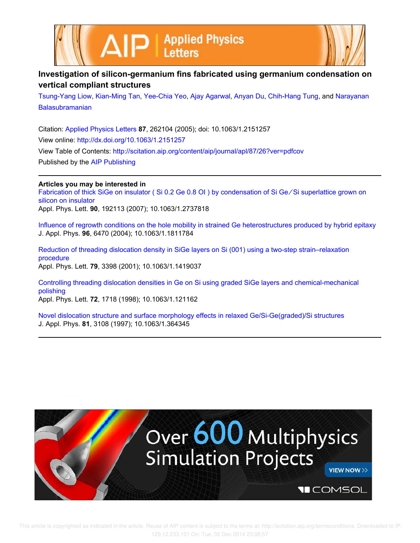



## **Investigation of silicon-germanium fins fabricated using germanium condensation on vertical compliant structures**

Tsung-Yang Liow, Kian-Ming Tan, Yee-Chia Yeo, Ajay Agarwal, Anyan Du, Chih-Hang Tung, and Narayanan Balasubramanian

Citation: Applied Physics Letters **87**, 262104 (2005); doi: 10.1063/1.2151257 View online: http://dx.doi.org/10.1063/1.2151257 View Table of Contents: http://scitation.aip.org/content/aip/journal/apl/87/26?ver=pdfcov Published by the AIP Publishing

## **Articles you may be interested in**

Fabrication of thick SiGe on insulator ( Si 0.2 Ge 0.8 OI ) by condensation of Si Ge ∕ Si superlattice grown on silicon on insulator

Appl. Phys. Lett. **90**, 192113 (2007); 10.1063/1.2737818

Influence of regrowth conditions on the hole mobility in strained Ge heterostructures produced by hybrid epitaxy J. Appl. Phys. **96**, 6470 (2004); 10.1063/1.1811784

Reduction of threading dislocation density in SiGe layers on Si (001) using a two-step strain–relaxation procedure Appl. Phys. Lett. **79**, 3398 (2001); 10.1063/1.1419037

Controlling threading dislocation densities in Ge on Si using graded SiGe layers and chemical-mechanical polishing

Appl. Phys. Lett. **72**, 1718 (1998); 10.1063/1.121162

Novel dislocation structure and surface morphology effects in relaxed Ge/Si-Ge(graded)/Si structures J. Appl. Phys. **81**, 3108 (1997); 10.1063/1.364345

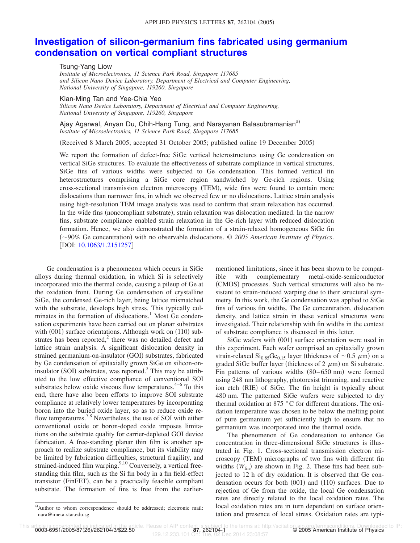## **Investigation of silicon-germanium fins fabricated using germanium condensation on vertical compliant structures**

Tsung-Yang Liow

*Institute of Microelectronics, 11 Science Park Road, Singapore 117685 and Silicon Nano Device Laboratory, Department of Electrical and Computer Engineering, National University of Singapore, 119260, Singapore*

Kian-Ming Tan and Yee-Chia Yeo

*Silicon Nano Device Laboratory, Department of Electrical and Computer Engineering, National University of Singapore, 119260, Singapore*

Ajay Agarwal, Anyan Du, Chih-Hang Tung, and Narayanan Balasubramanian<sup>a)</sup> *Institute of Microelectronics, 11 Science Park Road, Singapore 117685*

(Received 8 March 2005; accepted 31 October 2005; published online 19 December 2005)

We report the formation of defect-free SiGe vertical heterostructures using Ge condensation on vertical SiGe structures. To evaluate the effectiveness of substrate compliance in vertical structures, SiGe fins of various widths were subjected to Ge condensation. This formed vertical fin heterostructures comprising a SiGe core region sandwiched by Ge-rich regions. Using cross-sectional transmission electron microscopy (TEM), wide fins were found to contain more dislocations than narrower fins, in which we observed few or no dislocations. Lattice strain analysis using high-resolution TEM image analysis was used to confirm that strain relaxation has occurred. In the wide fins (noncompliant substrate), strain relaxation was dislocation mediated. In the narrow fins, substrate compliance enabled strain relaxation in the Ge-rich layer with reduced dislocation formation. Hence, we also demonstrated the formation of a strain-relaxed homogeneous SiGe fin (~90% Ge concentration) with no observable dislocations. © 2005 American Institute of Physics. DOI: 10.1063/1.2151257

Ge condensation is a phenomenon which occurs in SiGe alloys during thermal oxidation, in which Si is selectively incorporated into the thermal oxide, causing a pileup of Ge at the oxidation front. During Ge condensation of crystalline SiGe, the condensed Ge-rich layer, being lattice mismatched with the substrate, develops high stress. This typically culminates in the formation of dislocations.<sup>1</sup> Most Ge condensation experiments have been carried out on planar substrates with (001) surface orientations. Although work on (110) substrates has been reported, $2$  there was no detailed defect and lattice strain analysis. A significant dislocation density in strained germanium-on-insulator (GOI) substrates, fabricated by Ge condensation of epitaxially grown SiGe on silicon-oninsulator (SOI) substrates, was reported.<sup>3</sup> This may be attributed to the low effective compliance of conventional SOI substrates below oxide viscous flow temperatures. $4-6$  To this end, there have also been efforts to improve SOI substrate compliance at relatively lower temperatures by incorporating boron into the buried oxide layer, so as to reduce oxide reflow temperatures.<sup>7,8</sup> Nevertheless, the use of SOI with either conventional oxide or boron-doped oxide imposes limitations on the substrate quality for carrier-depleted GOI device fabrication. A free-standing planar thin film is another approach to realize substrate compliance, but its viability may be limited by fabrication difficulties, structural fragility, and strained-induced film warping. $9,10$  Conversely, a vertical freestanding thin film, such as the Si fin body in a fin field-effect transistor (FinFET), can be a practically feasible compliant substrate. The formation of fins is free from the earliermentioned limitations, since it has been shown to be compatible with complementary metal-oxide-semiconductor (CMOS) processes. Such vertical structures will also be resistant to strain-induced warping due to their structural symmetry. In this work, the Ge condensation was applied to SiGe fins of various fin widths. The Ge concentration, dislocation density, and lattice strain in these vertical structures were investigated. Their relationship with fin widths in the context of substrate compliance is discussed in this letter.

SiGe wafers with (001) surface orientation were used in this experiment. Each wafer comprised an epitaxially grown strain-relaxed  $\text{Si}_{0.85}\text{Ge}_{0.15}$  layer (thickness of  $\sim$ 0.5  $\mu$ m) on a graded SiGe buffer layer (thickness of 2  $\mu$ m) on Si substrate. Fin patterns of various widths  $(80-650 \text{ nm})$  were formed using 248 nm lithography, photoresist trimming, and reactive ion etch (RIE) of SiGe. The fin height is typically about 480 nm. The patterned SiGe wafers were subjected to dry thermal oxidation at 875 °C for different durations. The oxidation temperature was chosen to be below the melting point of pure germanium yet sufficiently high to ensure that no germanium was incorporated into the thermal oxide.

The phenomenon of Ge condensation to enhance Ge concentration in three-dimensional SiGe structures is illustrated in Fig. 1. Cross-sectional transmission electron microscopy (TEM) micrographs of two fins with different fin widths  $(W_{fin})$  are shown in Fig. 2. These fins had been subjected to 12 h of dry oxidation. It is observed that Ge condensation occurs for both  $(001)$  and  $(110)$  surfaces. Due to rejection of Ge from the oxide, the local Ge condensation rates are directly related to the local oxidation rates. The local oxidation rates are in turn dependent on surface orientation and presence of local stress. Oxidation rates are typi-

a)Author to whom correspondence should be addressed; electronic mail: nara@ime.a-star.edu.sg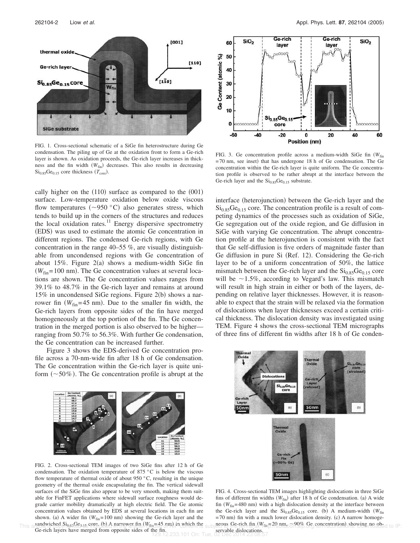

FIG. 1. Cross-sectional schematic of a SiGe fin heterostructure during Ge condensation. The piling up of Ge at the oxidation front to form a Ge-rich layer is shown. As oxidation proceeds, the Ge-rich layer increases in thickness and the fin width  $(W_{fin})$  decreases. This also results in decreasing  $Si<sub>0.85</sub>Ge<sub>0.15</sub>$  core thickness  $(T<sub>core</sub>)$ .

cally higher on the  $(110)$  surface as compared to the  $(001)$ surface. Low-temperature oxidation below oxide viscous flow temperatures ( $\sim$ 950 °C) also generates stress, which tends to build up in the corners of the structures and reduces the local oxidation rates.<sup>11</sup> Energy dispersive spectrometry (EDS) was used to estimate the atomic Ge concentration in different regions. The condensed Ge-rich regions, with Ge concentration in the range 40–55 %, are visually distinguishable from uncondensed regions with Ge concentration of about 15%. Figure  $2(a)$  shows a medium-width SiGe fin  $(W_{fin} = 100 \text{ nm})$ . The Ge concentration values at several locations are shown. The Ge concentration values ranges from 39.1% to 48.7% in the Ge-rich layer and remains at around 15% in uncondensed SiGe regions. Figure  $2(b)$  shows a narrower fin  $(W_{fin} = 45 \text{ nm})$ . Due to the smaller fin width, the Ge-rich layers from opposite sides of the fin have merged homogeneously at the top portion of the fin. The Ge concentration in the merged portion is also observed to be higher ranging from 50.7% to 56.3%. With further Ge condensation, the Ge concentration can be increased further.

Figure 3 shows the EDS-derived Ge concentration profile across a 70-nm-wide fin after 18 h of Ge condensation. The Ge concentration within the Ge-rich layer is quite uniform  $(\sim 50\%)$ . The Ge concentration profile is abrupt at the



FIG. 2. Cross-sectional TEM images of two SiGe fins after 12 h of Ge condensation. The oxidation temperature of 875  $\degree$ C is below the viscous flow temperature of thermal oxide of about 950 °C, resulting in the unique geometry of the thermal oxide encapsulating the fin. The vertical sidewall surfaces of the SiGe fins also appear to be very smooth, making them suitable for FinFET applications where sidewall surface roughness would degrade carrier mobility dramatically at high electric field. The Ge atomic concentration values obtained by EDS at several locations in each fin are shown. (a) A wider fin  $(W_{fin} = 100 \text{ nm})$  showing the Ge-rich layer and the sandwiched  $Si<sub>0.85</sub>Ge<sub>0.15</sub>$  core. (b) A narrower fin  $(W<sub>fin</sub>=45$  nm) in which the Ge-rich layers have merged from opposite sides of the fin.



FIG. 3. Ge concentration profile across a medium-width SiGe fin *(W*<sub>fin</sub>) =70 nm, see inset) that has undergone 18 h of Ge condensation. The Ge concentration within the Ge-rich layer is quite uniform. The Ge concentration profile is observed to be rather abrupt at the interface between the Ge-rich layer and the  $Si<sub>0.85</sub>Ge<sub>0.15</sub>$  substrate.

interface (heterojunction) between the Ge-rich layer and the  $Si<sub>0.85</sub>Ge<sub>0.15</sub>$  core. The concentration profile is a result of competing dynamics of the processes such as oxidation of SiGe, Ge segregation out of the oxide region, and Ge diffusion in SiGe with varying Ge concentration. The abrupt concentration profile at the heterojunction is consistent with the fact that Ge self-diffusion is five orders of magnitude faster than Ge diffusion in pure Si (Ref. 12). Considering the Ge-rich layer to be of a uniform concentration of 50%, the lattice mismatch between the Ge-rich layer and the  $Si<sub>0.85</sub>Ge<sub>0.15</sub>$  core will be  $\sim$ 1.5%, according to Vegard's law. This mismatch will result in high strain in either or both of the layers, depending on relative layer thicknesses. However, it is reasonable to expect that the strain will be relaxed via the formation of dislocations when layer thicknesses exceed a certain critical thickness. The dislocation density was investigated using TEM. Figure 4 shows the cross-sectional TEM micrographs of three fins of different fin widths after 18 h of Ge conden-



FIG. 4. Cross-sectional TEM images highlighting dislocations in three SiGe fins of different fin widths  $(W_{fin})$  after 18 h of Ge condensation. (a) A wide fin  $(W_{fin} = 480 \text{ nm})$  with a high dislocation density at the interface between the Ge-rich layer and the  $Si<sub>0.85</sub>Ge<sub>0.15</sub>$  core. (b) A medium-width  $(W<sub>fin</sub>)$ =70 nm) fin with a much lower dislocation density. (c) A narrow homoge-This and wiched Sings Geo as core. (the A narrower fine ( $W_{\text{FeII}}$  =45 nm) in which the subjectus Ge-rich final  $W_{\text{FeII}}$  =20 nm io 20%. Ge, concentration), showing no abed to IP:

servable dislocations. 129.12.233.101 On: Tue, 02 Dec 2014 23:08:57